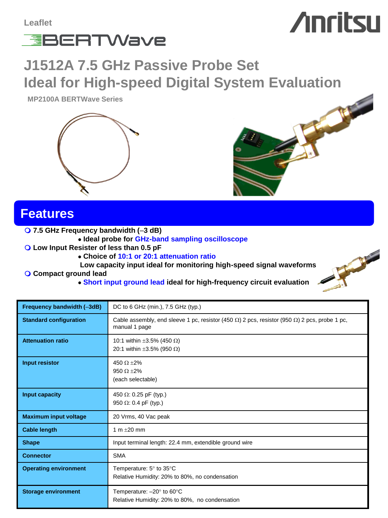

# **Anritsu**

## **J1512A 7.5 GHz Passive Probe Set Ideal for High-speed Digital System Evaluation**

**MP2100A BERTWave Series**





#### **Features**

**7.5 GHz Frequency bandwidth (**–**3 dB)**

- **Ideal probe for GHz-band sampling oscilloscope**
- **Low Input Resister of less than 0.5 pF**

**Choice of 10:1 or 20:1 attenuation ratio** 

 **Low capacity input ideal for monitoring high-speed signal waveforms**

- **Compact ground lead**
	- **Short input ground lead ideal for high-frequency circuit evaluation**

| Frequency bandwidth (-3dB)    | DC to 6 GHz (min.), 7.5 GHz (typ.)                                                                                            |
|-------------------------------|-------------------------------------------------------------------------------------------------------------------------------|
| <b>Standard configuration</b> | Cable assembly, end sleeve 1 pc, resistor (450 $\Omega$ ) 2 pcs, resistor (950 $\Omega$ ) 2 pcs, probe 1 pc,<br>manual 1 page |
| <b>Attenuation ratio</b>      | 10:1 within ±3.5% (450 Ω)<br>20:1 within ±3.5% (950 $\Omega$ )                                                                |
| Input resistor                | 450 $\Omega$ ±2%<br>$950 \Omega + 2\%$<br>(each selectable)                                                                   |
| Input capacity                | 450 $\Omega$ : 0.25 pF (typ.)<br>950 $\Omega$ : 0.4 pF (typ.)                                                                 |
| <b>Maximum input voltage</b>  | 20 Vrms, 40 Vac peak                                                                                                          |
| <b>Cable length</b>           | 1 m $\pm 20$ mm                                                                                                               |
| <b>Shape</b>                  | Input terminal length: 22.4 mm, extendible ground wire                                                                        |
| <b>Connector</b>              | <b>SMA</b>                                                                                                                    |
| <b>Operating environment</b>  | Temperature: $5^\circ$ to $35^\circ$ C<br>Relative Humidity: 20% to 80%, no condensation                                      |
| <b>Storage environment</b>    | Temperature: $-20^\circ$ to 60 $^\circ$ C<br>Relative Humidity: 20% to 80%, no condensation                                   |